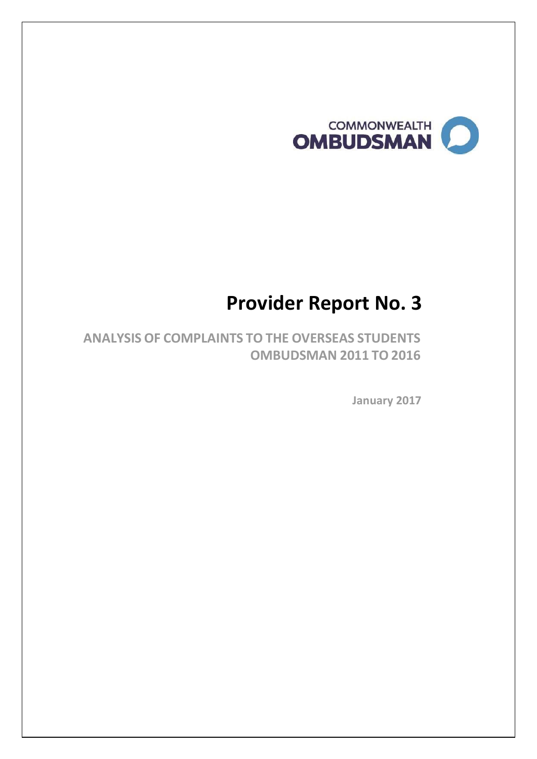

# **Provider Report No. 3**

**ANALYSIS OF COMPLAINTS TO THE OVERSEAS STUDENTS OMBUDSMAN 2011 TO 2016**

 **January 2017**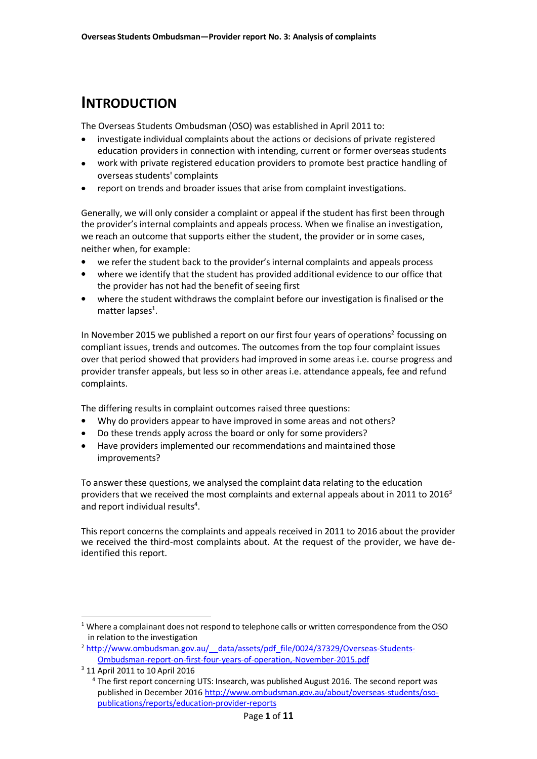### **INTRODUCTION**

The Overseas Students Ombudsman (OSO) was established in April 2011 to:

- investigate individual complaints about the actions or decisions of private registered education providers in connection with intending, current or former overseas students
- work with private registered education providers to promote best practice handling of overseas students' complaints  $\bullet$
- report on trends and broader issues that arise from complaint investigations.  $\bullet$

Generally, we will only consider a complaint or appeal if the student has first been through the provider's internal complaints and appeals process. When we finalise an investigation, we reach an outcome that supports either the student, the provider or in some cases, neither when, for example:

- $\bullet$ we refer the student back to the provider's internal complaints and appeals process
- $\bullet$ where we identify that the student has provided additional evidence to our office that the provider has not had the benefit of seeing first
- where the student withdraws the complaint before our investigation is finalised or the matter lapses<sup>1</sup>.  $\bullet$

In November 2015 we published a report on our first four years of operations<sup>2</sup> focussing on compliant issues, trends and outcomes. The outcomes from the top four complaint issues over that period showed that providers had improved in some areas i.e. course progress and provider transfer appeals, but less so in other areas i.e. attendance appeals, fee and refund complaints.

The differing results in complaint outcomes raised three questions:

- $\bullet$ Why do providers appear to have improved in some areas and not others?
- $\bullet$ Do these trends apply across the board or only for some providers?
- $\bullet$ Have providers implemented our recommendations and maintained those improvements?

To answer these questions, we analysed the complaint data relating to the education providers that we received the most complaints and external appeals about in 2011 to 2016<sup>3</sup> and report individual results<sup>4</sup>.

This report concerns the complaints and appeals received in 2011 to 2016 about the provider we received the third-most complaints about. At the request of the provider, we have deidentified this report.

 $1$  Where a complainant does not respond to telephone calls or written correspondence from the OSO in relation to the investigation

<sup>&</sup>lt;sup>2</sup> http://www.ombudsman.gov.au/ data/assets/pdf file/0024/37329/Overseas-Students-[Ombudsman-report-on-first-four-years-of-operation,-November-2015.pdf](http://www.ombudsman.gov.au/__data/assets/pdf_file/0024/37329/Overseas-Students-Ombudsman-report-on-first-four-years-of-operation%2C-November-2015.pdf)

<sup>3</sup> 11 April 2011 to 10 April 2016

<sup>&</sup>lt;sup>4</sup> The first report concerning UTS: Insearch, was published August 2016. The second report was published in December 201[6 http://www.ombudsman.gov.au/about/overseas-students/oso](http://www.ombudsman.gov.au/about/overseas-students/oso-publications/reports/education-provider-reports)[publications/reports/education-provider-reports](http://www.ombudsman.gov.au/about/overseas-students/oso-publications/reports/education-provider-reports)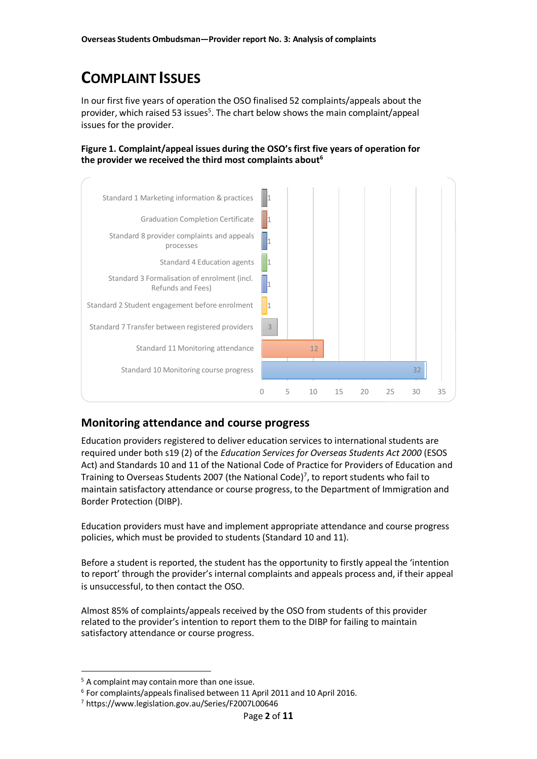## **COMPLAINT ISSUES**

In our first five years of operation the OSO finalised 52 complaints/appeals about the provider, which raised 53 issues<sup>5</sup>. The chart below shows the main complaint/appeal issues for the provider.

**Figure 1. Complaint/appeal issues during the OSO's first five years of operation for the provider we received the third most complaints about<sup>6</sup>**



### **Monitoring attendance and course progress**

Education providers registered to deliver education services to international students are required under both s19 (2) of the *Education Services for Overseas Students Act 2000* (ESOS Act) and Standards 10 and 11 of the National Code of Practice for Providers of Education and Training to Overseas Students 2007 (the National Code) 7 , to report students who fail to maintain satisfactory attendance or course progress, to the Department of Immigration and Border Protection (DIBP).

Education providers must have and implement appropriate attendance and course progress policies, which must be provided to students (Standard 10 and 11).

Before a student is reported, the student has the opportunity to firstly appeal the 'intention to report' through the provider's internal complaints and appeals process and, if their appeal is unsuccessful, to then contact the OSO.

Almost 85% of complaints/appeals received by the OSO from students of this provider related to the provider's intention to report them to the DIBP for failing to maintain satisfactory attendance or course progress.

<sup>&</sup>lt;sup>5</sup> A complaint may contain more than one issue.

 $6$  For complaints/appeals finalised between 11 April 2011 and 10 April 2016.

<sup>7</sup> https:[//www.legislation.gov.au/Series/F2007L00646](http://www.legislation.gov.au/Series/F2007L00646)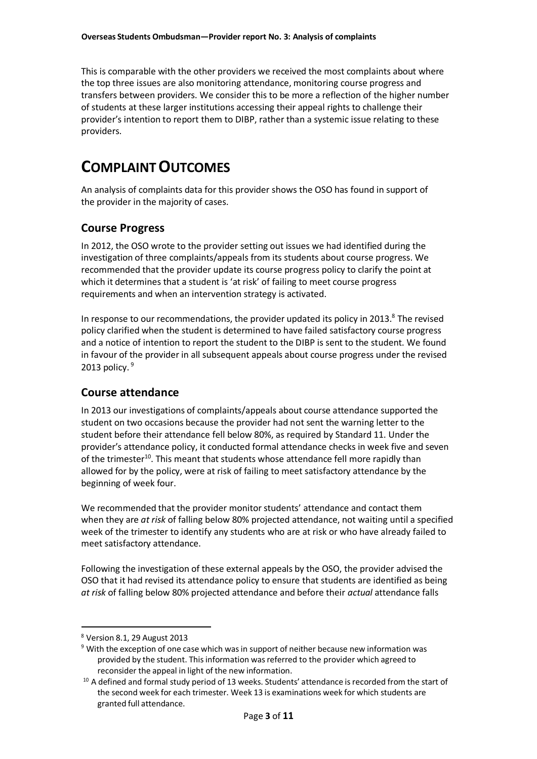This is comparable with the other providers we received the most complaints about where the top three issues are also monitoring attendance, monitoring course progress and transfers between providers. We consider this to be more a reflection of the higher number of students at these larger institutions accessing their appeal rights to challenge their provider's intention to report them to DIBP, rather than a systemic issue relating to these providers.

## **COMPLAINTOUTCOMES**

An analysis of complaints data for this provider shows the OSO has found in support of the provider in the majority of cases.

### **Course Progress**

In 2012, the OSO wrote to the provider setting out issues we had identified during the investigation of three complaints/appeals from its students about course progress. We recommended that the provider update its course progress policy to clarify the point at which it determines that a student is 'at risk' of failing to meet course progress requirements and when an intervention strategy is activated.

In response to our recommendations, the provider updated its policy in 2013.<sup>8</sup> The revised policy clarified when the student is determined to have failed satisfactory course progress and a notice of intention to report the student to the DIBP is sent to the student. We found in favour of the provider in all subsequent appeals about course progress under the revised 2013 policy. $9$ 

### **Course attendance**

In 2013 our investigations of complaints/appeals about course attendance supported the student on two occasions because the provider had not sent the warning letter to the student before their attendance fell below 80%, as required by Standard 11. Under the provider's attendance policy, it conducted formal attendance checks in week five and seven of the trimester<sup>10</sup>. This meant that students whose attendance fell more rapidly than allowed for by the policy, were at risk of failing to meet satisfactory attendance by the beginning of week four.

We recommended that the provider monitor students' attendance and contact them when they are *at risk* of falling below 80% projected attendance, not waiting until a specified week of the trimester to identify any students who are at risk or who have already failed to meet satisfactory attendance.

Following the investigation of these external appeals by the OSO, the provider advised the OSO that it had revised its attendance policy to ensure that students are identified as being *at risk* of falling below 80% projected attendance and before their *actual* attendance falls

<sup>8</sup> Version 8.1, 29 August 2013

<sup>&</sup>lt;sup>9</sup> With the exception of one case which was in support of neither because new information was provided by the student. Thisinformation wasreferred to the provider which agreed to reconsider the appeal in light of the new information.

<sup>&</sup>lt;sup>10</sup> A defined and formal study period of 13 weeks. Students' attendance is recorded from the start of the second week for each trimester. Week 13 is examinations week for which students are granted full attendance.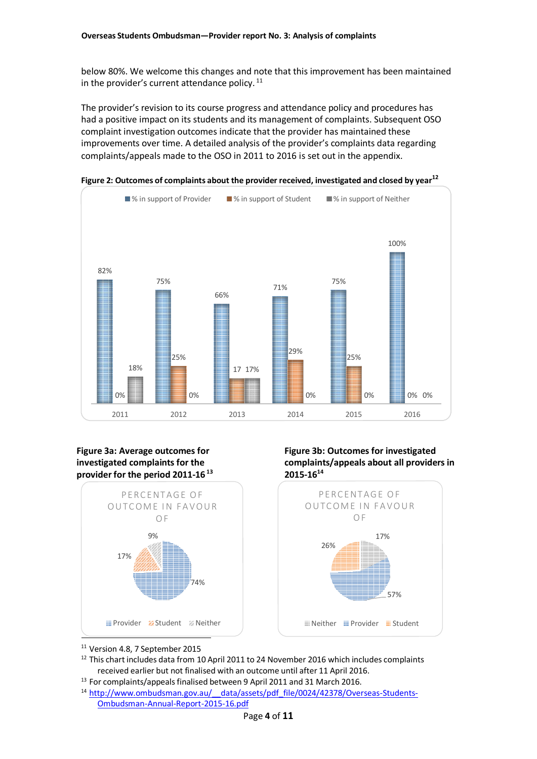below 80%. We welcome this changes and note that this improvement has been maintained in the provider's current attendance policy.  $11$ 

The provider's revision to its course progress and attendance policy and procedures has had a positive impact on its students and its management of complaints. Subsequent OSO complaint investigation outcomes indicate that the provider has maintained these improvements over time. A detailed analysis of the provider's complaints data regarding complaints/appeals made to the OSO in 2011 to 2016 is set out in the appendix.



**Figure 2: Outcomes of complaints about the provider received, investigated and closed by year 12**

#### **Figure 3a: Average outcomes for investigated complaints for the provider for the period 2011-16<sup>13</sup>**



**Figure 3b: Outcomes for investigated complaints/appeals about all providers in 2015-16 14**



<sup>11</sup> Version 4.8, 7 September 2015

<sup>12</sup> This chart includes data from 10 April 2011 to 24 November 2016 which includes complaints received earlier but not finalised with an outcome until after 11 April 2016.

- <sup>13</sup> For complaints/appeals finalised between 9 April 2011 and 31 March 2016.
- <sup>14</sup> http://www.ombudsman.gov.au/ data/assets/pdf file/0024/42378/Overseas-Students-[Ombudsman-Annual-Report-2015-16.pdf](http://www.ombudsman.gov.au/__data/assets/pdf_file/0024/42378/Overseas-Students-Ombudsman-Annual-Report-2015-16.pdf)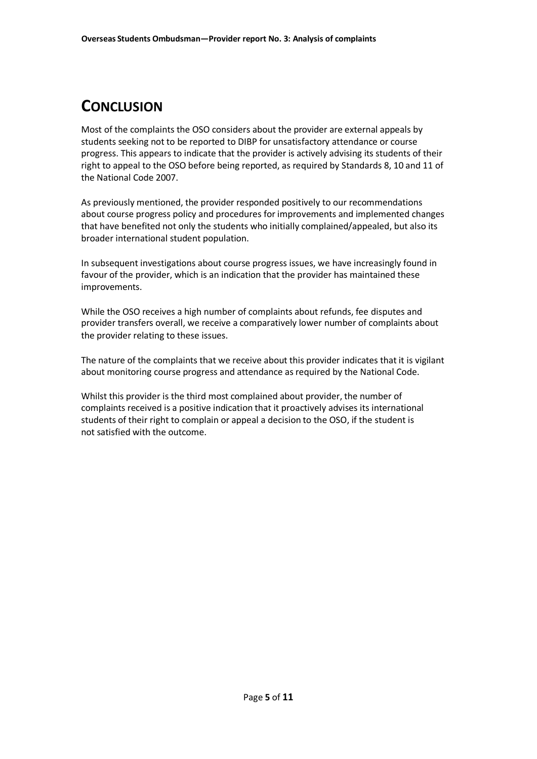## **CONCLUSION**

Most of the complaints the OSO considers about the provider are external appeals by students seeking not to be reported to DIBP for unsatisfactory attendance or course progress. This appears to indicate that the provider is actively advising its students of their right to appeal to the OSO before being reported, as required by Standards 8, 10 and 11 of the National Code 2007.

As previously mentioned, the provider responded positively to our recommendations about course progress policy and procedures for improvements and implemented changes that have benefited not only the students who initially complained/appealed, but also its broader international student population.

In subsequent investigations about course progress issues, we have increasingly found in favour of the provider, which is an indication that the provider has maintained these improvements.

While the OSO receives a high number of complaints about refunds, fee disputes and provider transfers overall, we receive a comparatively lower number of complaints about the provider relating to these issues.

The nature of the complaints that we receive about this provider indicates that it is vigilant about monitoring course progress and attendance as required by the National Code.

Whilst this provider is the third most complained about provider, the number of complaints received is a positive indication that it proactively advises its international students of their right to complain or appeal a decision to the OSO, if the student is not satisfied with the outcome.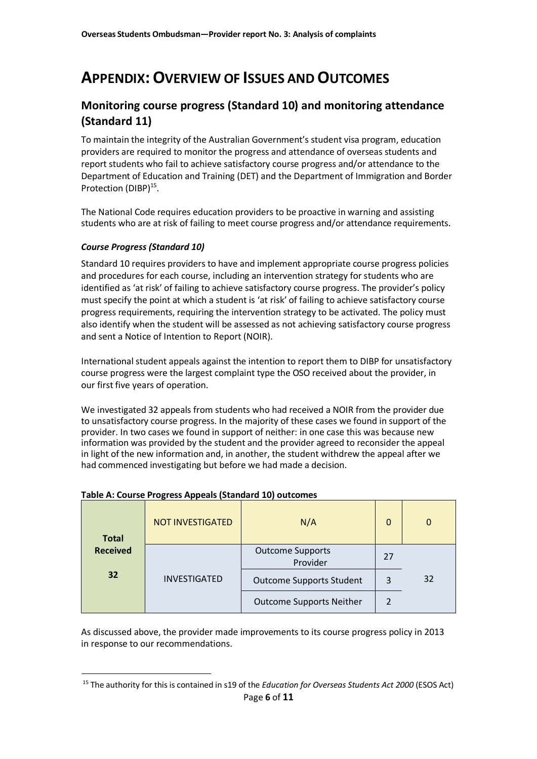## **APPENDIX:OVERVIEW OF ISSUES ANDOUTCOMES**

### **Monitoring course progress (Standard 10) and monitoring attendance (Standard 11)**

To maintain the integrity of the Australian Government's student visa program, education providers are required to monitor the progress and attendance of overseas students and report students who fail to achieve satisfactory course progress and/or attendance to the Department of Education and Training (DET) and the Department of Immigration and Border Protection (DIBP)<sup>15</sup>.

The National Code requires education providers to be proactive in warning and assisting students who are at risk of failing to meet course progress and/or attendance requirements.

#### *Course Progress (Standard 10)*

Standard 10 requires providers to have and implement appropriate course progress policies and procedures for each course, including an intervention strategy for students who are identified as 'at risk' of failing to achieve satisfactory course progress. The provider's policy must specify the point at which a student is 'at risk' of failing to achieve satisfactory course progress requirements, requiring the intervention strategy to be activated. The policy must also identify when the student will be assessed as not achieving satisfactory course progress and sent a Notice of Intention to Report (NOIR).

International student appeals against the intention to report them to DIBP for unsatisfactory course progress were the largest complaint type the OSO received about the provider, in our first five years of operation.

We investigated 32 appeals from students who had received a NOIR from the provider due to unsatisfactory course progress. In the majority of these cases we found in support of the provider. In two cases we found in support of neither: in one case this was because new information was provided by the student and the provider agreed to reconsider the appeal in light of the new information and, in another, the student withdrew the appeal after we had commenced investigating but before we had made a decision.

| <b>Total</b><br><b>Received</b> | <b>NOT INVESTIGATED</b> | N/A                                 | $\mathbf{0}$ | $\Omega$ |
|---------------------------------|-------------------------|-------------------------------------|--------------|----------|
|                                 |                         | <b>Outcome Supports</b><br>Provider | 27           |          |
| 32                              | <b>INVESTIGATED</b>     | <b>Outcome Supports Student</b>     | 3            | 32       |
|                                 |                         | <b>Outcome Supports Neither</b>     | 2            |          |

#### **Table A: Course Progress Appeals (Standard 10) outcomes**

As discussed above, the provider made improvements to its course progress policy in 2013 in response to our recommendations.

<sup>15</sup> The authority for thisis contained in s19 of the *Education for Overseas Students Act 2000* (ESOS Act) Page **6** of **11**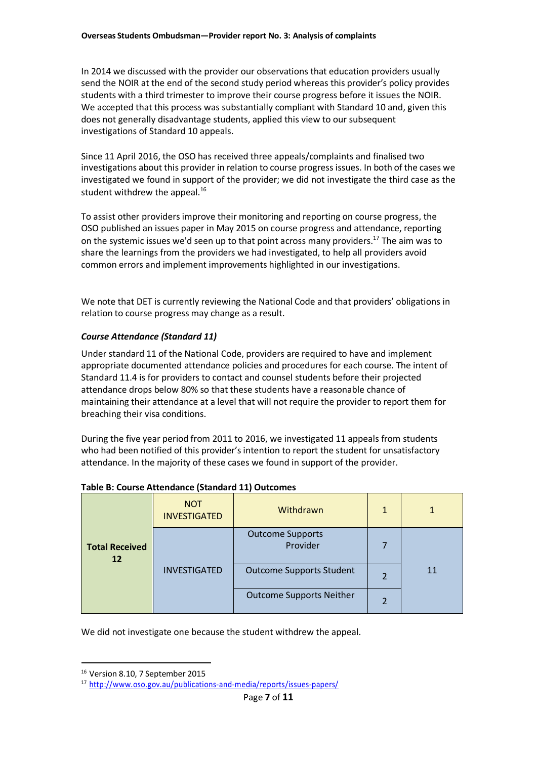In 2014 we discussed with the provider our observations that education providers usually send the NOIR at the end of the second study period whereas this provider's policy provides students with a third trimester to improve their course progress before it issues the NOIR. We accepted that this process was substantially compliant with Standard 10 and, given this does not generally disadvantage students, applied this view to our subsequent investigations of Standard 10 appeals.

Since 11 April 2016, the OSO has received three appeals/complaints and finalised two investigations about this provider in relation to course progress issues. In both of the cases we investigated we found in support of the provider; we did not investigate the third case as the student withdrew the appeal. $^{16}$ 

To assist other providers improve their monitoring and reporting on course progress, the OSO published an issues paper in May 2015 on course progress and attendance, reporting on the systemic issues we'd seen up to that point across many providers.<sup>17</sup> The aim was to share the learnings from the providers we had investigated, to help all providers avoid common errors and implement improvements highlighted in our investigations.

We note that DET is currently reviewing the National Code and that providers' obligations in relation to course progress may change as a result.

#### *Course Attendance (Standard 11)*

Under standard 11 of the National Code, providers are required to have and implement appropriate documented attendance policies and procedures for each course. The intent of Standard 11.4 is for providers to contact and counsel students before their projected attendance drops below 80% so that these students have a reasonable chance of maintaining their attendance at a level that will not require the provider to report them for breaching their visa conditions.

During the five year period from 2011 to 2016, we investigated 11 appeals from students who had been notified of this provider's intention to report the student for unsatisfactory attendance. In the majority of these cases we found in support of the provider.

| <b>Total Received</b><br>12 | <b>NOT</b><br><b>INVESTIGATED</b> | Withdrawn                           | 1 |    |
|-----------------------------|-----------------------------------|-------------------------------------|---|----|
|                             | <b>INVESTIGATED</b>               | <b>Outcome Supports</b><br>Provider |   | 11 |
|                             |                                   | <b>Outcome Supports Student</b>     |   |    |
|                             |                                   | <b>Outcome Supports Neither</b>     |   |    |

#### **Table B: Course Attendance (Standard 11) Outcomes**

We did not investigate one because the student withdrew the appeal.

<sup>&</sup>lt;sup>16</sup> Version 8.10, 7 September 2015

<sup>17</sup> <http://www.oso.gov.au/publications-and-media/reports/issues-papers/>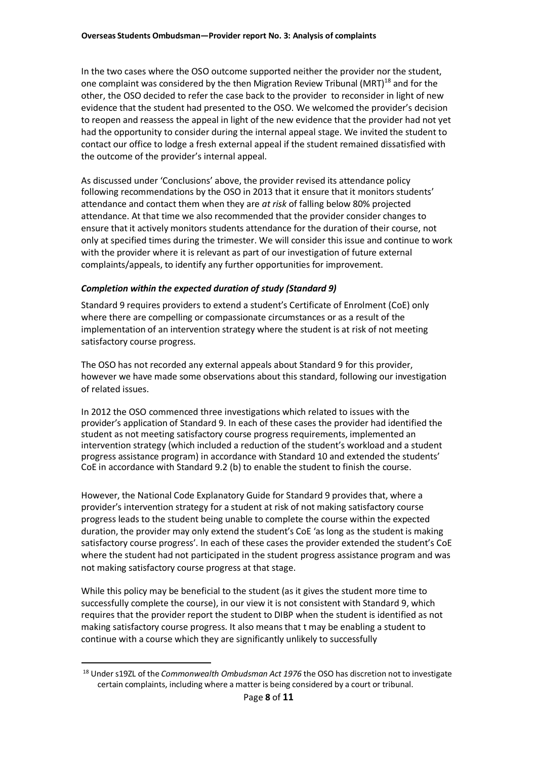In the two cases where the OSO outcome supported neither the provider nor the student, one complaint was considered by the then Migration Review Tribunal (MRT)<sup>18</sup> and for the other, the OSO decided to refer the case back to the provider to reconsider in light of new evidence that the student had presented to the OSO. We welcomed the provider's decision to reopen and reassess the appeal in light of the new evidence that the provider had not yet had the opportunity to consider during the internal appeal stage. We invited the student to contact our office to lodge a fresh external appeal if the student remained dissatisfied with the outcome of the provider's internal appeal.

As discussed under 'Conclusions' above, the provider revised its attendance policy following recommendations by the OSO in 2013 that it ensure that it monitors students' attendance and contact them when they are *at risk* of falling below 80% projected attendance. At that time we also recommended that the provider consider changes to ensure that it actively monitors students attendance for the duration of their course, not only at specified times during the trimester. We will consider this issue and continue to work with the provider where it is relevant as part of our investigation of future external complaints/appeals, to identify any further opportunities for improvement.

#### *Completion within the expected duration of study (Standard 9)*

Standard 9 requires providers to extend a student's Certificate of Enrolment (CoE) only where there are compelling or compassionate circumstances or as a result of the implementation of an intervention strategy where the student is at risk of not meeting satisfactory course progress.

The OSO has not recorded any external appeals about Standard 9 for this provider, however we have made some observations about this standard, following our investigation of related issues.

In 2012 the OSO commenced three investigations which related to issues with the provider's application of Standard 9. In each of these cases the provider had identified the student as not meeting satisfactory course progress requirements, implemented an intervention strategy (which included a reduction of the student's workload and a student progress assistance program) in accordance with Standard 10 and extended the students' CoE in accordance with Standard 9.2 (b) to enable the student to finish the course.

However, the National Code Explanatory Guide for Standard 9 provides that, where a provider's intervention strategy for a student at risk of not making satisfactory course progress leads to the student being unable to complete the course within the expected duration, the provider may only extend the student's CoE 'as long as the student is making satisfactory course progress'. In each of these cases the provider extended the student's CoE where the student had not participated in the student progress assistance program and was not making satisfactory course progress at that stage.

While this policy may be beneficial to the student (as it gives the student more time to successfully complete the course), in our view it is not consistent with Standard 9, which requires that the provider report the student to DIBP when the student is identified as not making satisfactory course progress. It also meansthat t may be enabling a student to continue with a course which they are significantly unlikely to successfully

<sup>18</sup> Under s19ZL of the *Commonwealth Ombudsman Act 1976* the OSO has discretion not to investigate certain complaints, including where a matter is being considered by a court or tribunal.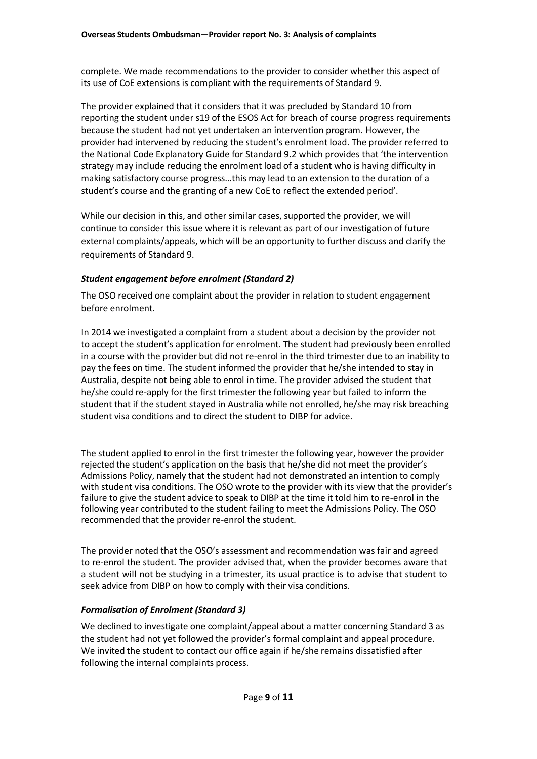complete. We made recommendations to the provider to consider whether this aspect of its use of CoE extensions is compliant with the requirements of Standard 9.

The provider explained that it considers that it was precluded by Standard 10 from reporting the student under s19 of the ESOS Act for breach of course progress requirements because the student had not yet undertaken an intervention program. However, the provider had intervened by reducing the student's enrolment load. The provider referred to the National Code Explanatory Guide for Standard 9.2 which provides that 'the intervention strategy may include reducing the enrolment load of a student who is having difficulty in making satisfactory course progress…this may lead to an extension to the duration of a student's course and the granting of a new CoE to reflect the extended period'.

While our decision in this, and other similar cases, supported the provider, we will continue to consider this issue where it is relevant as part of our investigation of future external complaints/appeals, which will be an opportunity to further discuss and clarify the requirements of Standard 9.

#### *Student engagement before enrolment (Standard 2)*

The OSO received one complaint about the provider in relation to student engagement before enrolment.

In 2014 we investigated a complaint from a student about a decision by the provider not to accept the student's application for enrolment. The student had previously been enrolled in a course with the provider but did not re-enrol in the third trimester due to an inability to pay the fees on time. The student informed the provider that he/she intended to stay in Australia, despite not being able to enrol in time. The provider advised the student that he/she could re-apply for the first trimester the following year but failed to inform the student that if the student stayed in Australia while not enrolled, he/she may risk breaching student visa conditions and to direct the student to DIBP for advice.

The student applied to enrol in the first trimester the following year, however the provider rejected the student's application on the basis that he/she did not meet the provider's Admissions Policy, namely that the student had not demonstrated an intention to comply with student visa conditions. The OSO wrote to the provider with its view that the provider's failure to give the student advice to speak to DIBP at the time it told him to re-enrol in the following year contributed to the student failing to meet the Admissions Policy. The OSO recommended that the provider re-enrol the student.

The provider noted that the OSO's assessment and recommendation was fair and agreed to re-enrol the student. The provider advised that, when the provider becomes aware that a student will not be studying in a trimester, its usual practice is to advise that student to seek advice from DIBP on how to comply with their visa conditions.

#### *Formalisation of Enrolment (Standard 3)*

We declined to investigate one complaint/appeal about a matter concerning Standard 3 as the student had not yet followed the provider's formal complaint and appeal procedure. We invited the student to contact our office again if he/she remains dissatisfied after following the internal complaints process.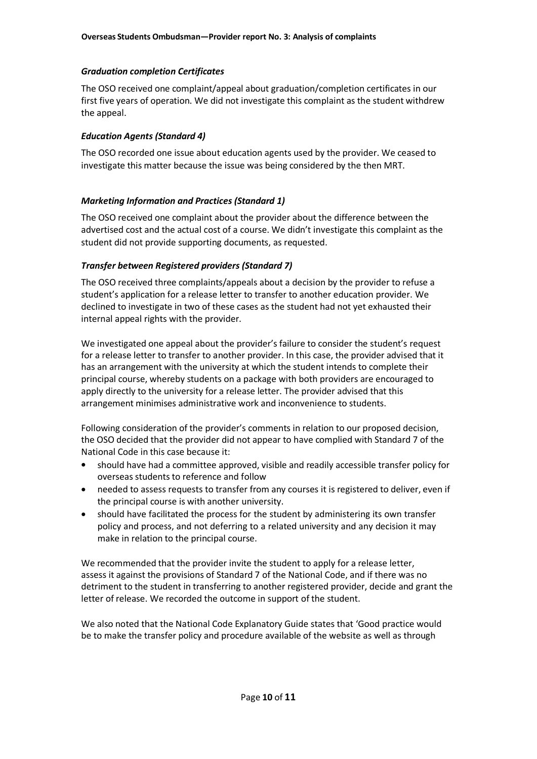#### *Graduation completion Certificates*

The OSO received one complaint/appeal about graduation/completion certificates in our first five years of operation. We did not investigate this complaint as the student withdrew the appeal.

#### *Education Agents (Standard 4)*

The OSO recorded one issue about education agents used by the provider. We ceased to investigate this matter because the issue was being considered by the then MRT.

#### *Marketing Information and Practices (Standard 1)*

The OSO received one complaint about the provider about the difference between the advertised cost and the actual cost of a course. We didn't investigate this complaint as the student did not provide supporting documents, as requested.

#### *Transfer between Registered providers (Standard 7)*

The OSO received three complaints/appeals about a decision by the provider to refuse a student's application for a release letter to transfer to another education provider. We declined to investigate in two of these cases as the student had not yet exhausted their internal appeal rights with the provider.

We investigated one appeal about the provider's failure to consider the student's request for a release letter to transfer to another provider. In this case, the provider advised that it has an arrangement with the university at which the student intends to complete their principal course, whereby students on a package with both providers are encouraged to apply directly to the university for a release letter. The provider advised that this arrangement minimises administrative work and inconvenience to students.

Following consideration of the provider's comments in relation to our proposed decision, the OSO decided that the provider did not appear to have complied with Standard 7 of the National Code in this case because it:

- should have had a committee approved, visible and readily accessible transfer policy for overseas students to reference and follow
- needed to assess requests to transfer from any courses it is registered to deliver, even if the principal course is with another university.  $\bullet$
- should have facilitated the process for the student by administering its own transfer policy and process, and not deferring to a related university and any decision it may make in relation to the principal course.  $\bullet$

We recommended that the provider invite the student to apply for a release letter, assess it against the provisions of Standard 7 of the National Code, and if there was no detriment to the student in transferring to another registered provider, decide and grant the letter of release. We recorded the outcome in support of the student.

We also noted that the National Code Explanatory Guide states that 'Good practice would be to make the transfer policy and procedure available of the website as well as through